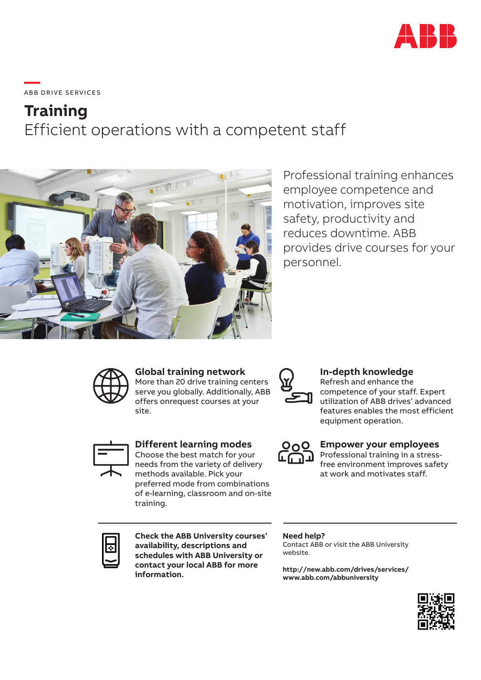

**—**  ABB DRIVE SERVICES

# **Training** Efficient operations with a competent staff



Professional training enhances employee competence and motivation, improves site safety, productivity and reduces downtime. ABB provides drive courses for your personnel.



## **Global training network**

More than 20 drive training centers serve you globally. Additionally, ABB offers onrequest courses at your site.



## **In-depth knowledge**

Refresh and enhance the competence of your staff. Expert utilization of ABB drives' advanced features enables the most efficient equipment operation.



#### **Different learning modes**

Choose the best match for your needs from the variety of delivery methods available. Pick your preferred mode from combinations of e-learning, classroom and on-site training.



#### **Empower your employees**

Professional training in a stressfree environment improves safety at work and motivates staff.



**Check the ABB University courses' availability, descriptions and schedules with ABB University or contact your local ABB for more information.**

#### **Need help?**

Contact ABB or visit the ABB University website.

**http://new.abb.com/drives/services/ www.abb.com/abbuniversity**